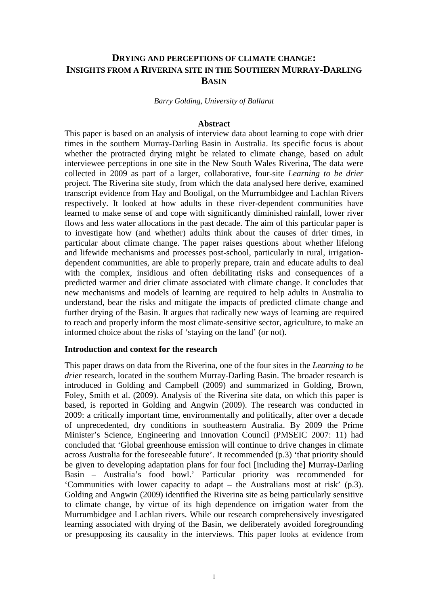# **DRYING AND PERCEPTIONS OF CLIMATE CHANGE: INSIGHTS FROM A RIVERINA SITE IN THE SOUTHERN MURRAY-DARLING BASIN**

## *Barry Golding, University of Ballarat*

#### **Abstract**

This paper is based on an analysis of interview data about learning to cope with drier times in the southern Murray-Darling Basin in Australia. Its specific focus is about whether the protracted drying might be related to climate change, based on adult interviewee perceptions in one site in the New South Wales Riverina, The data were collected in 2009 as part of a larger, collaborative, four-site *Learning to be drier*  project*.* The Riverina site study, from which the data analysed here derive, examined transcript evidence from Hay and Booligal, on the Murrumbidgee and Lachlan Rivers respectively. It looked at how adults in these river-dependent communities have learned to make sense of and cope with significantly diminished rainfall, lower river flows and less water allocations in the past decade. The aim of this particular paper is to investigate how (and whether) adults think about the causes of drier times, in particular about climate change. The paper raises questions about whether lifelong and lifewide mechanisms and processes post-school, particularly in rural, irrigationdependent communities, are able to properly prepare, train and educate adults to deal with the complex, insidious and often debilitating risks and consequences of a predicted warmer and drier climate associated with climate change. It concludes that new mechanisms and models of learning are required to help adults in Australia to understand, bear the risks and mitigate the impacts of predicted climate change and further drying of the Basin. It argues that radically new ways of learning are required to reach and properly inform the most climate-sensitive sector, agriculture, to make an informed choice about the risks of 'staying on the land' (or not).

## **Introduction and context for the research**

This paper draws on data from the Riverina, one of the four sites in the *Learning to be drier* research, located in the southern Murray-Darling Basin. The broader research is introduced in Golding and Campbell (2009) and summarized in Golding, Brown, Foley, Smith et al. (2009). Analysis of the Riverina site data, on which this paper is based, is reported in Golding and Angwin (2009). The research was conducted in 2009: a critically important time, environmentally and politically, after over a decade of unprecedented, dry conditions in southeastern Australia. By 2009 the Prime Minister's Science, Engineering and Innovation Council (PMSEIC 2007: 11) had concluded that 'Global greenhouse emission will continue to drive changes in climate across Australia for the foreseeable future'. It recommended (p.3) 'that priority should be given to developing adaptation plans for four foci [including the] Murray-Darling Basin – Australia's food bowl.' Particular priority was recommended for 'Communities with lower capacity to adapt – the Australians most at risk' (p.3). Golding and Angwin (2009) identified the Riverina site as being particularly sensitive to climate change, by virtue of its high dependence on irrigation water from the Murrumbidgee and Lachlan rivers. While our research comprehensively investigated learning associated with drying of the Basin, we deliberately avoided foregrounding or presupposing its causality in the interviews. This paper looks at evidence from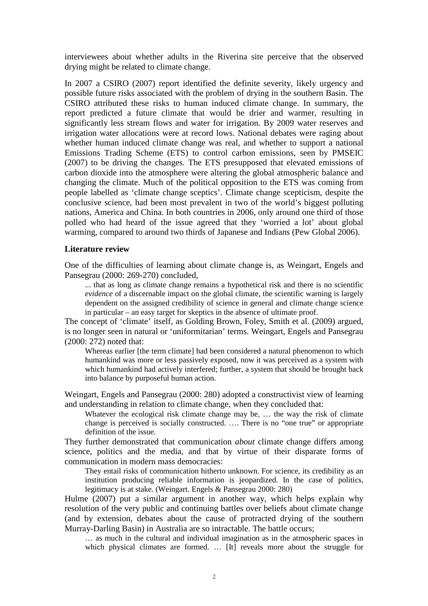interviewees about whether adults in the Riverina site perceive that the observed drying might be related to climate change.

In 2007 a CSIRO (2007) report identified the definite severity, likely urgency and possible future risks associated with the problem of drying in the southern Basin. The CSIRO attributed these risks to human induced climate change. In summary, the report predicted a future climate that would be drier and warmer, resulting in significantly less stream flows and water for irrigation. By 2009 water reserves and irrigation water allocations were at record lows. National debates were raging about whether human induced climate change was real, and whether to support a national Emissions Trading Scheme (ETS) to control carbon emissions, seen by PMSEIC (2007) to be driving the changes. The ETS presupposed that elevated emissions of carbon dioxide into the atmosphere were altering the global atmospheric balance and changing the climate. Much of the political opposition to the ETS was coming from people labelled as 'climate change sceptics'. Climate change scepticism, despite the conclusive science, had been most prevalent in two of the world's biggest polluting nations, America and China. In both countries in 2006, only around one third of those polled who had heard of the issue agreed that they 'worried a lot' about global warming, compared to around two thirds of Japanese and Indians (Pew Global 2006).

## **Literature review**

One of the difficulties of learning about climate change is, as Weingart, Engels and Pansegrau (2000: 269-270) concluded,

... that as long as climate change remains a hypothetical risk and there is no scientific *evidence* of a discernable impact on the global climate, the scientific warning is largely dependent on the assigned credibility of science in general and climate change science in particular – an easy target for skeptics in the absence of ultimate proof.

The concept of 'climate' itself, as Golding Brown, Foley, Smith et al. (2009) argued, is no longer seen in natural or 'uniformitarian' terms. Weingart, Engels and Pansegrau (2000: 272) noted that:

Whereas earlier [the term climate] had been considered a natural phenomenon to which humankind was more or less passively exposed, now it was perceived as a system with which humankind had actively interfered; further, a system that should be brought back into balance by purposeful human action.

Weingart, Engels and Pansegrau (2000: 280) adopted a constructivist view of learning and understanding in relation to climate change, when they concluded that:

Whatever the ecological risk climate change may be, ... the way the risk of climate change is perceived is socially constructed. …. There is no "one true" or appropriate definition of the issue.

They further demonstrated that communication *about* climate change differs among science, politics and the media, and that by virtue of their disparate forms of communication in modern mass democracies:

They entail risks of communication hitherto unknown. For science, its credibility as an institution producing reliable information is jeopardized. In the case of politics, legitimacy is at stake. (Weingart. Engels & Pansegrau 2000: 280)

Hulme (2007) put a similar argument in another way, which helps explain why resolution of the very public and continuing battles over beliefs about climate change (and by extension, debates about the cause of protracted drying of the southern Murray-Darling Basin) in Australia are so intractable. The battle occurs;

… as much in the cultural and individual imagination as in the atmospheric spaces in which physical climates are formed. ... [It] reveals more about the struggle for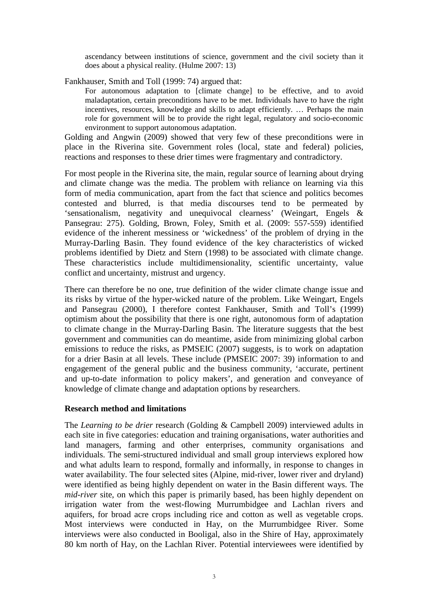ascendancy between institutions of science, government and the civil society than it does about a physical reality. (Hulme 2007: 13)

Fankhauser, Smith and Toll (1999: 74) argued that:

For autonomous adaptation to [climate change] to be effective, and to avoid maladaptation, certain preconditions have to be met. Individuals have to have the right incentives, resources, knowledge and skills to adapt efficiently. … Perhaps the main role for government will be to provide the right legal, regulatory and socio-economic environment to support autonomous adaptation.

Golding and Angwin (2009) showed that very few of these preconditions were in place in the Riverina site. Government roles (local, state and federal) policies, reactions and responses to these drier times were fragmentary and contradictory.

For most people in the Riverina site, the main, regular source of learning about drying and climate change was the media. The problem with reliance on learning via this form of media communication, apart from the fact that science and politics becomes contested and blurred, is that media discourses tend to be permeated by 'sensationalism, negativity and unequivocal clearness' (Weingart, Engels & Pansegrau: 275). Golding, Brown, Foley, Smith et al. (2009: 557-559) identified evidence of the inherent messiness or 'wickedness' of the problem of drying in the Murray-Darling Basin. They found evidence of the key characteristics of wicked problems identified by Dietz and Stern (1998) to be associated with climate change. These characteristics include multidimensionality, scientific uncertainty, value conflict and uncertainty, mistrust and urgency.

There can therefore be no one, true definition of the wider climate change issue and its risks by virtue of the hyper-wicked nature of the problem. Like Weingart, Engels and Pansegrau (2000), I therefore contest Fankhauser, Smith and Toll's (1999) optimism about the possibility that there is one right, autonomous form of adaptation to climate change in the Murray-Darling Basin. The literature suggests that the best government and communities can do meantime, aside from minimizing global carbon emissions to reduce the risks, as PMSEIC (2007) suggests, is to work on adaptation for a drier Basin at all levels. These include (PMSEIC 2007: 39) information to and engagement of the general public and the business community, 'accurate, pertinent and up-to-date information to policy makers', and generation and conveyance of knowledge of climate change and adaptation options by researchers.

## **Research method and limitations**

The *Learning to be drier* research (Golding & Campbell 2009) interviewed adults in each site in five categories: education and training organisations, water authorities and land managers, farming and other enterprises, community organisations and individuals. The semi-structured individual and small group interviews explored how and what adults learn to respond, formally and informally, in response to changes in water availability. The four selected sites (Alpine, mid-river, lower river and dryland) were identified as being highly dependent on water in the Basin different ways. The *mid-river* site, on which this paper is primarily based, has been highly dependent on irrigation water from the west-flowing Murrumbidgee and Lachlan rivers and aquifers, for broad acre crops including rice and cotton as well as vegetable crops. Most interviews were conducted in Hay, on the Murrumbidgee River. Some interviews were also conducted in Booligal, also in the Shire of Hay, approximately 80 km north of Hay, on the Lachlan River. Potential interviewees were identified by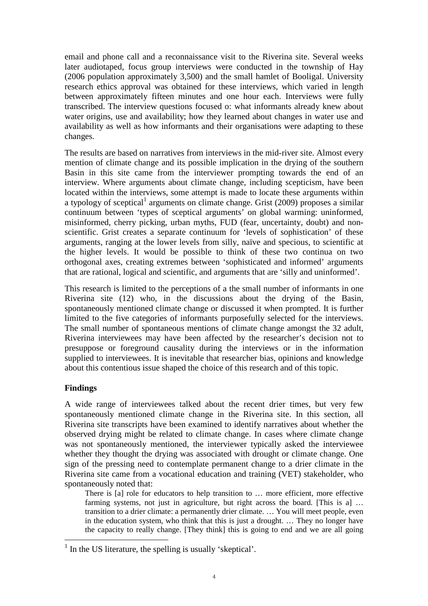email and phone call and a reconnaissance visit to the Riverina site. Several weeks later audiotaped, focus group interviews were conducted in the township of Hay (2006 population approximately 3,500) and the small hamlet of Booligal. University research ethics approval was obtained for these interviews, which varied in length between approximately fifteen minutes and one hour each. Interviews were fully transcribed. The interview questions focused o: what informants already knew about water origins, use and availability; how they learned about changes in water use and availability as well as how informants and their organisations were adapting to these changes.

The results are based on narratives from interviews in the mid-river site. Almost every mention of climate change and its possible implication in the drying of the southern Basin in this site came from the interviewer prompting towards the end of an interview. Where arguments about climate change, including scepticism, have been located within the interviews, some attempt is made to locate these arguments within a typology of sceptical<sup>1</sup> arguments on climate change. Grist  $(2009)$  proposes a similar continuum between 'types of sceptical arguments' on global warming: uninformed, misinformed, cherry picking, urban myths, FUD (fear, uncertainty, doubt) and nonscientific. Grist creates a separate continuum for 'levels of sophistication' of these arguments, ranging at the lower levels from silly, naïve and specious, to scientific at the higher levels. It would be possible to think of these two continua on two orthogonal axes, creating extremes between 'sophisticated and informed' arguments that are rational, logical and scientific, and arguments that are 'silly and uninformed'.

This research is limited to the perceptions of a the small number of informants in one Riverina site (12) who, in the discussions about the drying of the Basin, spontaneously mentioned climate change or discussed it when prompted. It is further limited to the five categories of informants purposefully selected for the interviews. The small number of spontaneous mentions of climate change amongst the 32 adult, Riverina interviewees may have been affected by the researcher's decision not to presuppose or foreground causality during the interviews or in the information supplied to interviewees. It is inevitable that researcher bias, opinions and knowledge about this contentious issue shaped the choice of this research and of this topic.

# **Findings**

 $\overline{a}$ 

A wide range of interviewees talked about the recent drier times, but very few spontaneously mentioned climate change in the Riverina site. In this section, all Riverina site transcripts have been examined to identify narratives about whether the observed drying might be related to climate change. In cases where climate change was not spontaneously mentioned, the interviewer typically asked the interviewee whether they thought the drying was associated with drought or climate change. One sign of the pressing need to contemplate permanent change to a drier climate in the Riverina site came from a vocational education and training (VET) stakeholder, who spontaneously noted that:

There is [a] role for educators to help transition to ... more efficient, more effective farming systems, not just in agriculture, but right across the board. [This is a] ... transition to a drier climate: a permanently drier climate. … You will meet people, even in the education system, who think that this is just a drought. … They no longer have the capacity to really change. [They think] this is going to end and we are all going

<sup>&</sup>lt;sup>1</sup> In the US literature, the spelling is usually 'skeptical'.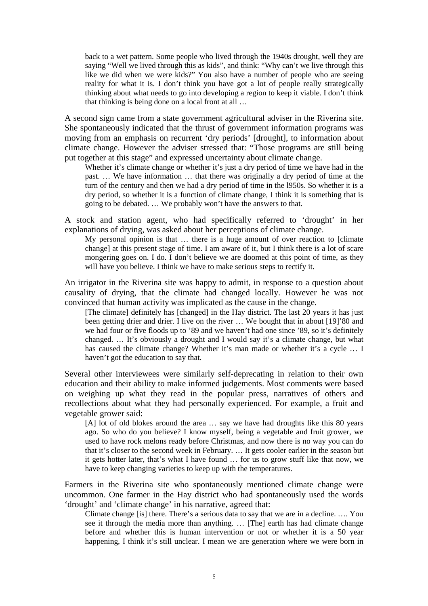back to a wet pattern. Some people who lived through the 1940s drought, well they are saying "Well we lived through this as kids", and think: "Why can't we live through this like we did when we were kids?" You also have a number of people who are seeing reality for what it is. I don't think you have got a lot of people really strategically thinking about what needs to go into developing a region to keep it viable. I don't think that thinking is being done on a local front at all …

A second sign came from a state government agricultural adviser in the Riverina site. She spontaneously indicated that the thrust of government information programs was moving from an emphasis on recurrent 'dry periods' [drought], to information about climate change. However the adviser stressed that: "Those programs are still being put together at this stage" and expressed uncertainty about climate change.

Whether it's climate change or whether it's just a dry period of time we have had in the past. … We have information … that there was originally a dry period of time at the turn of the century and then we had a dry period of time in the l950s. So whether it is a dry period, so whether it is a function of climate change, I think it is something that is going to be debated. … We probably won't have the answers to that.

A stock and station agent, who had specifically referred to 'drought' in her explanations of drying, was asked about her perceptions of climate change.

My personal opinion is that … there is a huge amount of over reaction to [climate change] at this present stage of time. I am aware of it, but I think there is a lot of scare mongering goes on. I do. I don't believe we are doomed at this point of time, as they will have you believe. I think we have to make serious steps to rectify it.

An irrigator in the Riverina site was happy to admit, in response to a question about causality of drying, that the climate had changed locally. However he was not convinced that human activity was implicated as the cause in the change.

[The climate] definitely has [changed] in the Hay district. The last 20 years it has just been getting drier and drier. I live on the river … We bought that in about [19]'80 and we had four or five floods up to '89 and we haven't had one since '89, so it's definitely changed. … It's obviously a drought and I would say it's a climate change, but what has caused the climate change? Whether it's man made or whether it's a cycle … I haven't got the education to say that.

Several other interviewees were similarly self-deprecating in relation to their own education and their ability to make informed judgements. Most comments were based on weighing up what they read in the popular press, narratives of others and recollections about what they had personally experienced. For example, a fruit and vegetable grower said:

[A] lot of old blokes around the area ... say we have had droughts like this 80 years ago. So who do you believe? I know myself, being a vegetable and fruit grower, we used to have rock melons ready before Christmas, and now there is no way you can do that it's closer to the second week in February. … It gets cooler earlier in the season but it gets hotter later, that's what I have found … for us to grow stuff like that now, we have to keep changing varieties to keep up with the temperatures.

Farmers in the Riverina site who spontaneously mentioned climate change were uncommon. One farmer in the Hay district who had spontaneously used the words 'drought' and 'climate change' in his narrative, agreed that:

Climate change [is] there. There's a serious data to say that we are in a decline. …. You see it through the media more than anything. … [The] earth has had climate change before and whether this is human intervention or not or whether it is a 50 year happening, I think it's still unclear. I mean we are generation where we were born in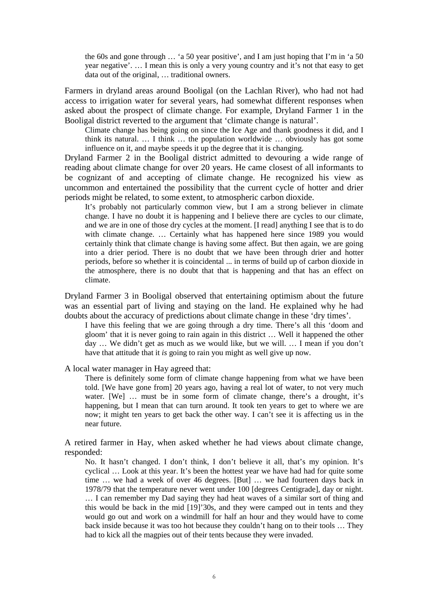the 60s and gone through … 'a 50 year positive', and I am just hoping that I'm in 'a 50 year negative'. … I mean this is only a very young country and it's not that easy to get data out of the original, … traditional owners.

Farmers in dryland areas around Booligal (on the Lachlan River), who had not had access to irrigation water for several years, had somewhat different responses when asked about the prospect of climate change. For example, Dryland Farmer 1 in the Booligal district reverted to the argument that 'climate change is natural'.

Climate change has being going on since the Ice Age and thank goodness it did, and I think its natural. … I think … the population worldwide … obviously has got some influence on it, and maybe speeds it up the degree that it is changing.

Dryland Farmer 2 in the Booligal district admitted to devouring a wide range of reading about climate change for over 20 years. He came closest of all informants to be cognizant of and accepting of climate change. He recognized his view as uncommon and entertained the possibility that the current cycle of hotter and drier periods might be related, to some extent, to atmospheric carbon dioxide.

It's probably not particularly common view, but I am a strong believer in climate change. I have no doubt it is happening and I believe there are cycles to our climate, and we are in one of those dry cycles at the moment. [I read] anything I see that is to do with climate change. ... Certainly what has happened here since 1989 you would certainly think that climate change is having some affect. But then again, we are going into a drier period. There is no doubt that we have been through drier and hotter periods, before so whether it is coincidental ... in terms of build up of carbon dioxide in the atmosphere, there is no doubt that that is happening and that has an effect on climate.

Dryland Farmer 3 in Booligal observed that entertaining optimism about the future was an essential part of living and staying on the land. He explained why he had doubts about the accuracy of predictions about climate change in these 'dry times'.

I have this feeling that we are going through a dry time. There's all this 'doom and gloom' that it is never going to rain again in this district … Well it happened the other day … We didn't get as much as we would like, but we will. … I mean if you don't have that attitude that it *is* going to rain you might as well give up now.

A local water manager in Hay agreed that:

There is definitely some form of climate change happening from what we have been told. [We have gone from] 20 years ago, having a real lot of water, to not very much water. [We] … must be in some form of climate change, there's a drought, it's happening, but I mean that can turn around. It took ten years to get to where we are now; it might ten years to get back the other way. I can't see it is affecting us in the near future.

A retired farmer in Hay, when asked whether he had views about climate change, responded:

No. It hasn't changed. I don't think, I don't believe it all, that's my opinion. It's cyclical … Look at this year. It's been the hottest year we have had had for quite some time … we had a week of over 46 degrees. [But] … we had fourteen days back in 1978/79 that the temperature never went under 100 [degrees Centigrade], day or night. … I can remember my Dad saying they had heat waves of a similar sort of thing and this would be back in the mid [19]'30s, and they were camped out in tents and they would go out and work on a windmill for half an hour and they would have to come back inside because it was too hot because they couldn't hang on to their tools … They had to kick all the magpies out of their tents because they were invaded.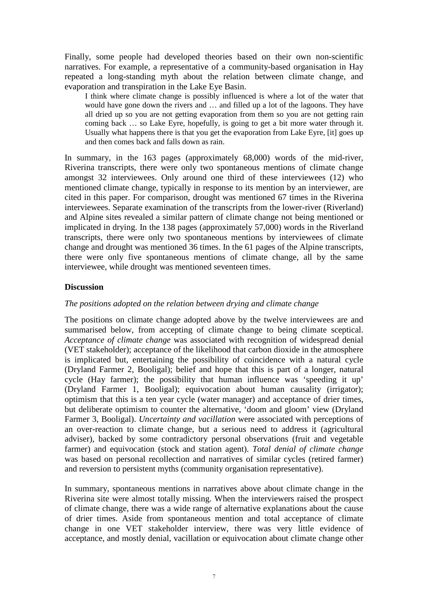Finally, some people had developed theories based on their own non-scientific narratives. For example, a representative of a community-based organisation in Hay repeated a long-standing myth about the relation between climate change, and evaporation and transpiration in the Lake Eye Basin.

I think where climate change is possibly influenced is where a lot of the water that would have gone down the rivers and ... and filled up a lot of the lagoons. They have all dried up so you are not getting evaporation from them so you are not getting rain coming back … so Lake Eyre, hopefully, is going to get a bit more water through it. Usually what happens there is that you get the evaporation from Lake Eyre, [it] goes up and then comes back and falls down as rain.

In summary, in the 163 pages (approximately 68,000) words of the mid-river, Riverina transcripts, there were only two spontaneous mentions of climate change amongst 32 interviewees. Only around one third of these interviewees (12) who mentioned climate change, typically in response to its mention by an interviewer, are cited in this paper. For comparison, drought was mentioned 67 times in the Riverina interviewees. Separate examination of the transcripts from the lower-river (Riverland) and Alpine sites revealed a similar pattern of climate change not being mentioned or implicated in drying. In the 138 pages (approximately 57,000) words in the Riverland transcripts, there were only two spontaneous mentions by interviewees of climate change and drought was mentioned 36 times. In the 61 pages of the Alpine transcripts, there were only five spontaneous mentions of climate change, all by the same interviewee, while drought was mentioned seventeen times.

## **Discussion**

## *The positions adopted on the relation between drying and climate change*

The positions on climate change adopted above by the twelve interviewees are and summarised below, from accepting of climate change to being climate sceptical. *Acceptance of climate change* was associated with recognition of widespread denial (VET stakeholder); acceptance of the likelihood that carbon dioxide in the atmosphere is implicated but, entertaining the possibility of coincidence with a natural cycle (Dryland Farmer 2, Booligal); belief and hope that this is part of a longer, natural cycle (Hay farmer); the possibility that human influence was 'speeding it up' (Dryland Farmer 1, Booligal); equivocation about human causality (irrigator); optimism that this is a ten year cycle (water manager) and acceptance of drier times, but deliberate optimism to counter the alternative, 'doom and gloom' view (Dryland Farmer 3, Booligal). *Uncertainty and vacillation* were associated with perceptions of an over-reaction to climate change, but a serious need to address it (agricultural adviser), backed by some contradictory personal observations (fruit and vegetable farmer) and equivocation (stock and station agent). *Total denial of climate change* was based on personal recollection and narratives of similar cycles (retired farmer) and reversion to persistent myths (community organisation representative).

In summary, spontaneous mentions in narratives above about climate change in the Riverina site were almost totally missing. When the interviewers raised the prospect of climate change, there was a wide range of alternative explanations about the cause of drier times. Aside from spontaneous mention and total acceptance of climate change in one VET stakeholder interview, there was very little evidence of acceptance, and mostly denial, vacillation or equivocation about climate change other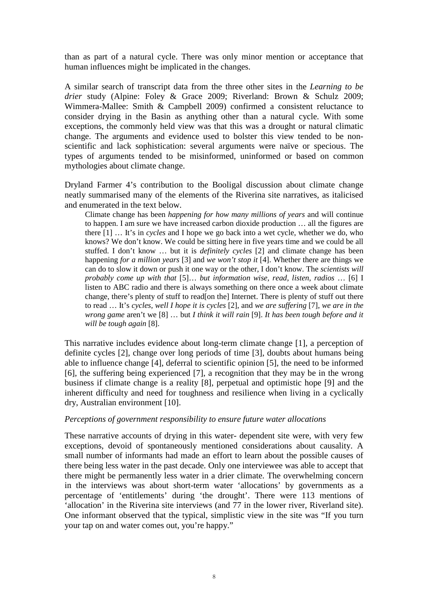than as part of a natural cycle. There was only minor mention or acceptance that human influences might be implicated in the changes.

A similar search of transcript data from the three other sites in the *Learning to be drier* study (Alpine: Foley & Grace 2009; Riverland: Brown & Schulz 2009; Wimmera-Mallee: Smith & Campbell 2009) confirmed a consistent reluctance to consider drying in the Basin as anything other than a natural cycle. With some exceptions, the commonly held view was that this was a drought or natural climatic change. The arguments and evidence used to bolster this view tended to be nonscientific and lack sophistication: several arguments were naïve or specious. The types of arguments tended to be misinformed, uninformed or based on common mythologies about climate change.

Dryland Farmer 4's contribution to the Booligal discussion about climate change neatly summarised many of the elements of the Riverina site narratives, as italicised and enumerated in the text below.

Climate change has been *happening for how many millions of years* and will continue to happen. I am sure we have increased carbon dioxide production … all the figures are there [1] … It's in *cycles* and I hope we go back into a wet cycle, whether we do, who knows? We don't know. We could be sitting here in five years time and we could be all stuffed. I don't know … but it is *definitely cycles* [2] and climate change has been happening *for a million years* [3] and *we won't stop it* [4]. Whether there are things we can do to slow it down or push it one way or the other, I don't know. The *scientists will probably come up with that* [5]… *but information wise, read, listen, radios* … [6] I listen to ABC radio and there is always something on there once a week about climate change, there's plenty of stuff to read[on the] Internet. There is plenty of stuff out there to read … It's *cycles, well I hope it is cycles* [2], and *we are suffering* [7], *we are in the wrong game* aren't we [8] … but *I think it will rain* [9]. *It has been tough before and it will be tough again* [8].

This narrative includes evidence about long-term climate change [1], a perception of definite cycles [2], change over long periods of time [3], doubts about humans being able to influence change [4], deferral to scientific opinion [5], the need to be informed [6], the suffering being experienced [7], a recognition that they may be in the wrong business if climate change is a reality [8], perpetual and optimistic hope [9] and the inherent difficulty and need for toughness and resilience when living in a cyclically dry, Australian environment [10].

## *Perceptions of government responsibility to ensure future water allocations*

These narrative accounts of drying in this water- dependent site were, with very few exceptions, devoid of spontaneously mentioned considerations about causality. A small number of informants had made an effort to learn about the possible causes of there being less water in the past decade. Only one interviewee was able to accept that there might be permanently less water in a drier climate. The overwhelming concern in the interviews was about short-term water 'allocations' by governments as a percentage of 'entitlements' during 'the drought'. There were 113 mentions of 'allocation' in the Riverina site interviews (and 77 in the lower river, Riverland site). One informant observed that the typical, simplistic view in the site was "If you turn your tap on and water comes out, you're happy."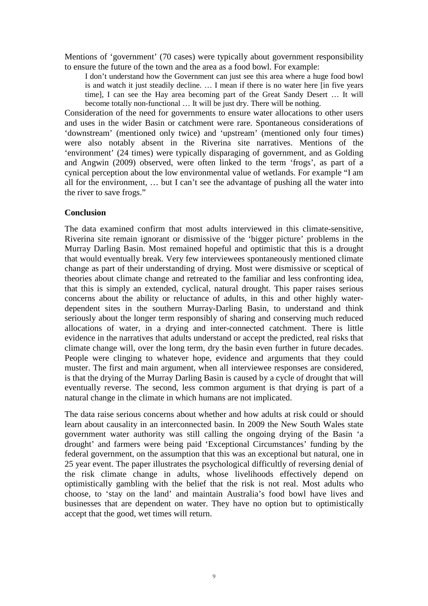Mentions of 'government' (70 cases) were typically about government responsibility to ensure the future of the town and the area as a food bowl. For example:

I don't understand how the Government can just see this area where a huge food bowl is and watch it just steadily decline. … I mean if there is no water here [in five years time], I can see the Hay area becoming part of the Great Sandy Desert … It will become totally non-functional … It will be just dry. There will be nothing.

Consideration of the need for governments to ensure water allocations to other users and uses in the wider Basin or catchment were rare. Spontaneous considerations of 'downstream' (mentioned only twice) and 'upstream' (mentioned only four times) were also notably absent in the Riverina site narratives. Mentions of the 'environment' (24 times) were typically disparaging of government, and as Golding and Angwin (2009) observed, were often linked to the term 'frogs', as part of a cynical perception about the low environmental value of wetlands. For example "I am all for the environment, … but I can't see the advantage of pushing all the water into the river to save frogs."

## **Conclusion**

The data examined confirm that most adults interviewed in this climate-sensitive, Riverina site remain ignorant or dismissive of the 'bigger picture' problems in the Murray Darling Basin. Most remained hopeful and optimistic that this is a drought that would eventually break. Very few interviewees spontaneously mentioned climate change as part of their understanding of drying. Most were dismissive or sceptical of theories about climate change and retreated to the familiar and less confronting idea, that this is simply an extended, cyclical, natural drought. This paper raises serious concerns about the ability or reluctance of adults, in this and other highly waterdependent sites in the southern Murray-Darling Basin, to understand and think seriously about the longer term responsibly of sharing and conserving much reduced allocations of water, in a drying and inter-connected catchment. There is little evidence in the narratives that adults understand or accept the predicted, real risks that climate change will, over the long term, dry the basin even further in future decades. People were clinging to whatever hope, evidence and arguments that they could muster. The first and main argument, when all interviewee responses are considered, is that the drying of the Murray Darling Basin is caused by a cycle of drought that will eventually reverse. The second, less common argument is that drying is part of a natural change in the climate in which humans are not implicated.

The data raise serious concerns about whether and how adults at risk could or should learn about causality in an interconnected basin. In 2009 the New South Wales state government water authority was still calling the ongoing drying of the Basin 'a drought' and farmers were being paid 'Exceptional Circumstances' funding by the federal government, on the assumption that this was an exceptional but natural, one in 25 year event. The paper illustrates the psychological difficultly of reversing denial of the risk climate change in adults, whose livelihoods effectively depend on optimistically gambling with the belief that the risk is not real. Most adults who choose, to 'stay on the land' and maintain Australia's food bowl have lives and businesses that are dependent on water. They have no option but to optimistically accept that the good, wet times will return.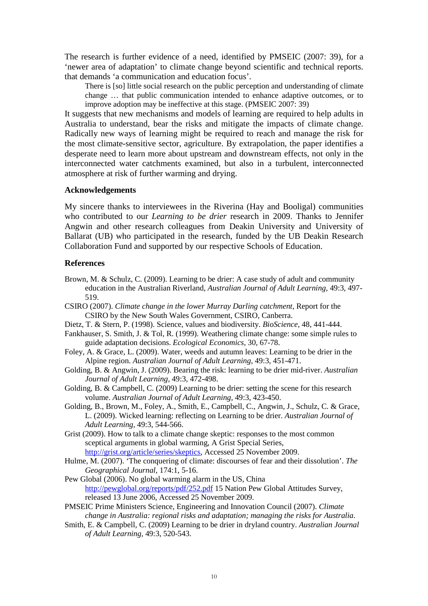The research is further evidence of a need, identified by PMSEIC (2007: 39), for a 'newer area of adaptation' to climate change beyond scientific and technical reports. that demands 'a communication and education focus'.

There is [so] little social research on the public perception and understanding of climate change … that public communication intended to enhance adaptive outcomes, or to improve adoption may be ineffective at this stage. (PMSEIC 2007: 39)

It suggests that new mechanisms and models of learning are required to help adults in Australia to understand, bear the risks and mitigate the impacts of climate change. Radically new ways of learning might be required to reach and manage the risk for the most climate-sensitive sector, agriculture. By extrapolation, the paper identifies a desperate need to learn more about upstream and downstream effects, not only in the interconnected water catchments examined, but also in a turbulent, interconnected atmosphere at risk of further warming and drying.

## **Acknowledgements**

My sincere thanks to interviewees in the Riverina (Hay and Booligal) communities who contributed to our *Learning to be drier* research in 2009. Thanks to Jennifer Angwin and other research colleagues from Deakin University and University of Ballarat (UB) who participated in the research, funded by the UB Deakin Research Collaboration Fund and supported by our respective Schools of Education.

#### **References**

- Brown, M. & Schulz, C. (2009). Learning to be drier: A case study of adult and community education in the Australian Riverland, *Australian Journal of Adult Learning,* 49:3, 497- 519.
- CSIRO (2007). *Climate change in the lower Murray Darling catchment*, Report for the CSIRO by the New South Wales Government, CSIRO, Canberra.
- Dietz, T. & Stern, P. (1998). Science, values and biodiversity. *BioScience,* 48, 441-444.
- Fankhauser, S. Smith, J. & Tol, R. (1999). Weathering climate change: some simple rules to guide adaptation decisions. *Ecological Economics,* 30, 67-78.
- Foley, A. & Grace, L. (2009). Water, weeds and autumn leaves: Learning to be drier in the Alpine region. *Australian Journal of Adult Learning,* 49:3, 451-471.
- Golding, B. & Angwin, J. (2009). Bearing the risk: learning to be drier mid-river. *Australian Journal of Adult Learning,* 49:3, 472-498.
- Golding, B. & Campbell, C. (2009) Learning to be drier: setting the scene for this research volume. *Australian Journal of Adult Learning,* 49:3, 423-450.
- Golding, B., Brown, M., Foley, A., Smith, E., Campbell, C., Angwin, J., Schulz, C. & Grace, L. (2009). Wicked learning: reflecting on Learning to be drier. *Australian Journal of Adult Learning,* 49:3, 544-566.
- Grist (2009). How to talk to a climate change skeptic: responses to the most common sceptical arguments in global warming, A Grist Special Series, http://grist.org/article/series/skeptics, Accessed 25 November 2009.
- Hulme, M. (2007). 'The conquering of climate: discourses of fear and their dissolution'. *The Geographical Journal,* 174:1, 5-16.
- Pew Global (2006). No global warming alarm in the US, China http://pewglobal.org/reports/pdf/252.pdf 15 Nation Pew Global Attitudes Survey, released 13 June 2006, Accessed 25 November 2009.
- PMSEIC Prime Ministers Science, Engineering and Innovation Council (2007). *Climate change in Australia: regional risks and adaptation; managing the risks for Australia*.
- Smith, E. & Campbell, C. (2009) Learning to be drier in dryland country. *Australian Journal of Adult Learning,* 49:3, 520-543.